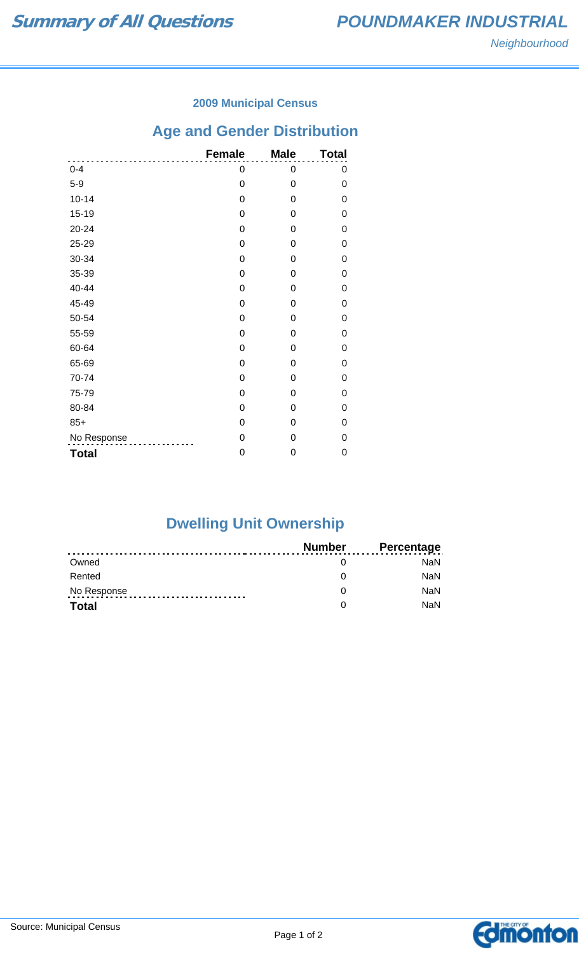### **2009 Municipal Census**

## **Age and Gender Distribution**

|              | <b>Female</b> | <b>Male</b> | <b>Total</b> |
|--------------|---------------|-------------|--------------|
| $0 - 4$      | 0             | 0           | 0            |
| $5-9$        | 0             | 0           | 0            |
| $10 - 14$    | 0             | 0           | 0            |
| $15 - 19$    | 0             | 0           | 0            |
| 20-24        | 0             | 0           | 0            |
| 25-29        | 0             | 0           | 0            |
| 30-34        | 0             | 0           | 0            |
| 35-39        | 0             | 0           | 0            |
| 40-44        | 0             | 0           | 0            |
| 45-49        | 0             | 0           | 0            |
| 50-54        | 0             | 0           | 0            |
| 55-59        | 0             | 0           | 0            |
| 60-64        | 0             | 0           | 0            |
| 65-69        | 0             | 0           | 0            |
| 70-74        | 0             | 0           | 0            |
| 75-79        | 0             | 0           | 0            |
| 80-84        | 0             | 0           | 0            |
| $85+$        | 0             | 0           | 0            |
| No Response  | 0             | 0           | 0            |
| <b>Total</b> | 0             | 0           | 0            |

# **Dwelling Unit Ownership**

|              | <b>Number</b> | <b>Percentage</b> |
|--------------|---------------|-------------------|
| Owned        |               | <b>NaN</b>        |
| Rented       |               | <b>NaN</b>        |
| No Response  |               | <b>NaN</b>        |
| <b>Total</b> |               | NaN               |